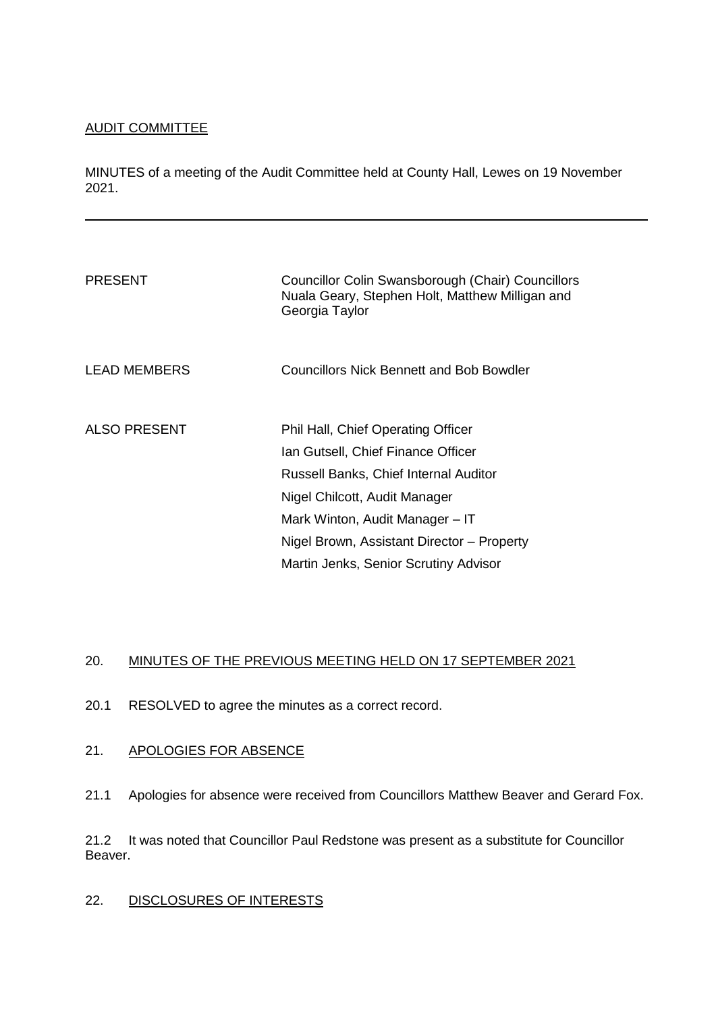## AUDIT COMMITTEE

MINUTES of a meeting of the Audit Committee held at County Hall, Lewes on 19 November 2021.

| <b>PRESENT</b>      | Councillor Colin Swansborough (Chair) Councillors<br>Nuala Geary, Stephen Holt, Matthew Milligan and<br>Georgia Taylor                                                                                                                                                                     |
|---------------------|--------------------------------------------------------------------------------------------------------------------------------------------------------------------------------------------------------------------------------------------------------------------------------------------|
| LEAD MEMBERS        | Councillors Nick Bennett and Bob Bowdler                                                                                                                                                                                                                                                   |
| <b>ALSO PRESENT</b> | <b>Phil Hall, Chief Operating Officer</b><br>Ian Gutsell, Chief Finance Officer<br><b>Russell Banks, Chief Internal Auditor</b><br>Nigel Chilcott, Audit Manager<br>Mark Winton, Audit Manager - IT<br>Nigel Brown, Assistant Director - Property<br>Martin Jenks, Senior Scrutiny Advisor |

# 20. MINUTES OF THE PREVIOUS MEETING HELD ON 17 SEPTEMBER 2021

20.1 RESOLVED to agree the minutes as a correct record.

## 21. APOLOGIES FOR ABSENCE

21.1 Apologies for absence were received from Councillors Matthew Beaver and Gerard Fox.

21.2 It was noted that Councillor Paul Redstone was present as a substitute for Councillor Beaver.

### 22. DISCLOSURES OF INTERESTS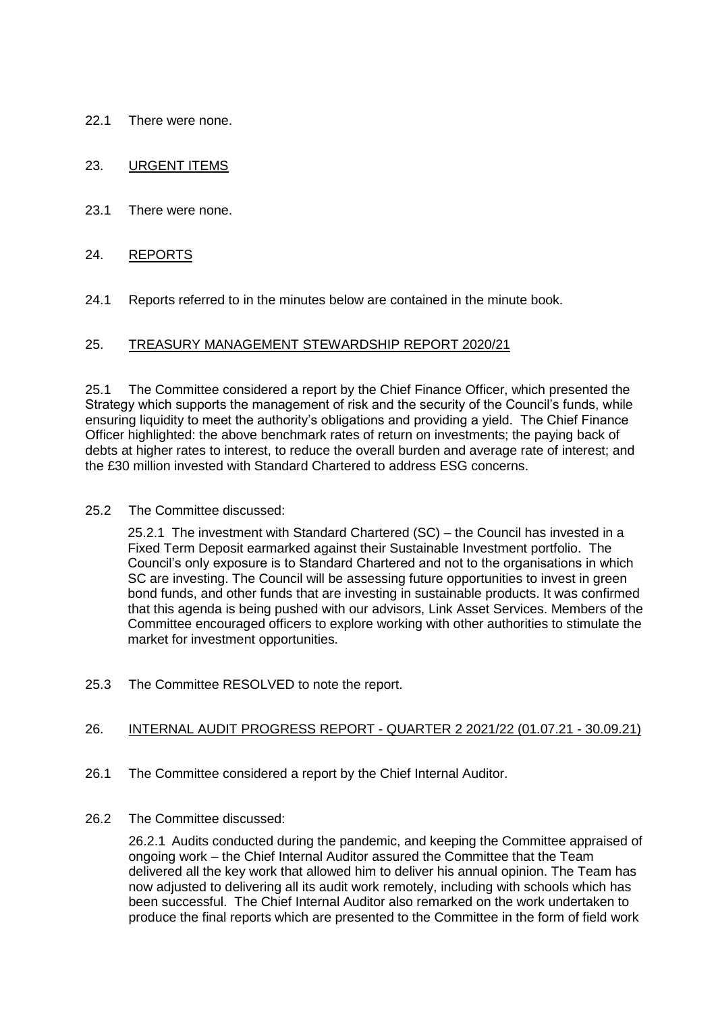22.1 There were none.

### 23. URGENT ITEMS

23.1 There were none.

#### 24. REPORTS

24.1 Reports referred to in the minutes below are contained in the minute book.

#### 25. TREASURY MANAGEMENT STEWARDSHIP REPORT 2020/21

25.1 The Committee considered a report by the Chief Finance Officer, which presented the Strategy which supports the management of risk and the security of the Council's funds, while ensuring liquidity to meet the authority's obligations and providing a yield. The Chief Finance Officer highlighted: the above benchmark rates of return on investments; the paying back of debts at higher rates to interest, to reduce the overall burden and average rate of interest; and the £30 million invested with Standard Chartered to address ESG concerns.

#### 25.2 The Committee discussed:

25.2.1 The investment with Standard Chartered (SC) – the Council has invested in a Fixed Term Deposit earmarked against their Sustainable Investment portfolio. The Council's only exposure is to Standard Chartered and not to the organisations in which SC are investing. The Council will be assessing future opportunities to invest in green bond funds, and other funds that are investing in sustainable products. It was confirmed that this agenda is being pushed with our advisors, Link Asset Services. Members of the Committee encouraged officers to explore working with other authorities to stimulate the market for investment opportunities.

25.3 The Committee RESOLVED to note the report.

### 26. INTERNAL AUDIT PROGRESS REPORT - QUARTER 2 2021/22 (01.07.21 - 30.09.21)

26.1 The Committee considered a report by the Chief Internal Auditor.

#### 26.2 The Committee discussed:

26.2.1 Audits conducted during the pandemic, and keeping the Committee appraised of ongoing work – the Chief Internal Auditor assured the Committee that the Team delivered all the key work that allowed him to deliver his annual opinion. The Team has now adjusted to delivering all its audit work remotely, including with schools which has been successful. The Chief Internal Auditor also remarked on the work undertaken to produce the final reports which are presented to the Committee in the form of field work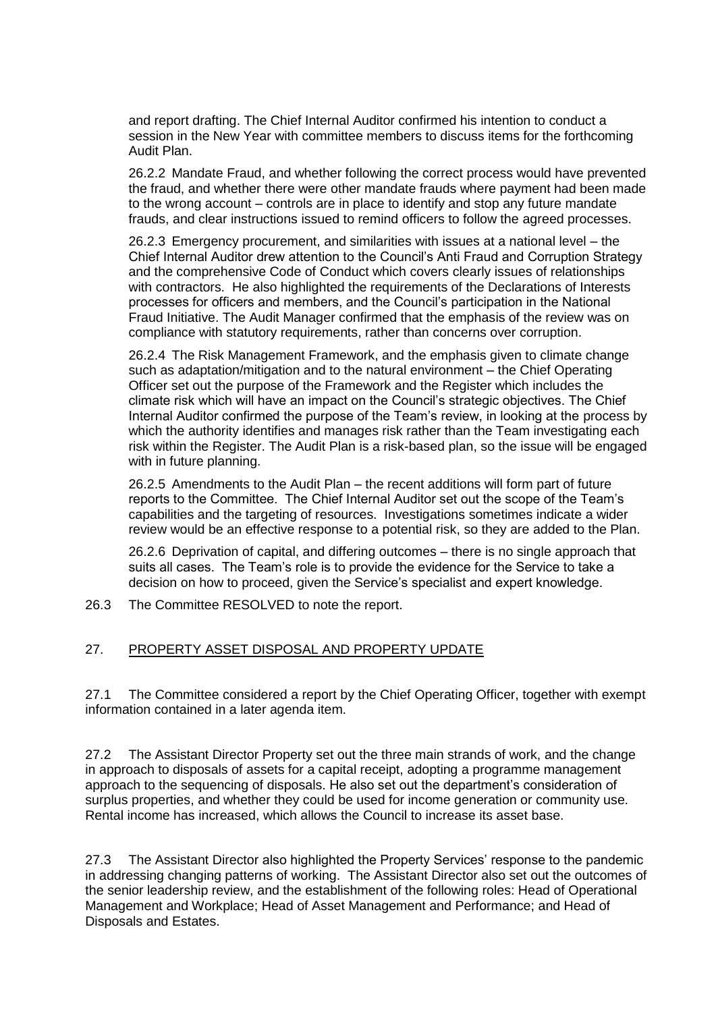and report drafting. The Chief Internal Auditor confirmed his intention to conduct a session in the New Year with committee members to discuss items for the forthcoming Audit Plan.

26.2.2 Mandate Fraud, and whether following the correct process would have prevented the fraud, and whether there were other mandate frauds where payment had been made to the wrong account – controls are in place to identify and stop any future mandate frauds, and clear instructions issued to remind officers to follow the agreed processes.

26.2.3 Emergency procurement, and similarities with issues at a national level – the Chief Internal Auditor drew attention to the Council's Anti Fraud and Corruption Strategy and the comprehensive Code of Conduct which covers clearly issues of relationships with contractors. He also highlighted the requirements of the Declarations of Interests processes for officers and members, and the Council's participation in the National Fraud Initiative. The Audit Manager confirmed that the emphasis of the review was on compliance with statutory requirements, rather than concerns over corruption.

26.2.4 The Risk Management Framework, and the emphasis given to climate change such as adaptation/mitigation and to the natural environment – the Chief Operating Officer set out the purpose of the Framework and the Register which includes the climate risk which will have an impact on the Council's strategic objectives. The Chief Internal Auditor confirmed the purpose of the Team's review, in looking at the process by which the authority identifies and manages risk rather than the Team investigating each risk within the Register. The Audit Plan is a risk-based plan, so the issue will be engaged with in future planning.

26.2.5 Amendments to the Audit Plan – the recent additions will form part of future reports to the Committee. The Chief Internal Auditor set out the scope of the Team's capabilities and the targeting of resources. Investigations sometimes indicate a wider review would be an effective response to a potential risk, so they are added to the Plan.

26.2.6 Deprivation of capital, and differing outcomes – there is no single approach that suits all cases. The Team's role is to provide the evidence for the Service to take a decision on how to proceed, given the Service's specialist and expert knowledge.

26.3 The Committee RESOLVED to note the report.

### 27. PROPERTY ASSET DISPOSAL AND PROPERTY UPDATE

27.1 The Committee considered a report by the Chief Operating Officer, together with exempt information contained in a later agenda item.

27.2 The Assistant Director Property set out the three main strands of work, and the change in approach to disposals of assets for a capital receipt, adopting a programme management approach to the sequencing of disposals. He also set out the department's consideration of surplus properties, and whether they could be used for income generation or community use. Rental income has increased, which allows the Council to increase its asset base.

27.3 The Assistant Director also highlighted the Property Services' response to the pandemic in addressing changing patterns of working. The Assistant Director also set out the outcomes of the senior leadership review, and the establishment of the following roles: Head of Operational Management and Workplace; Head of Asset Management and Performance; and Head of Disposals and Estates.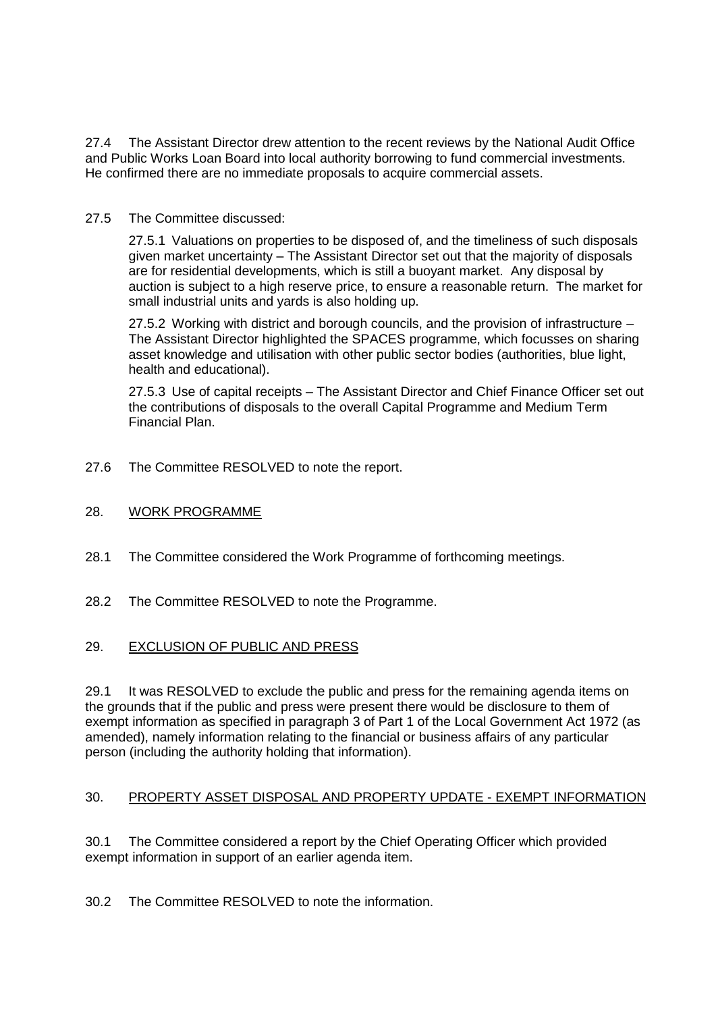27.4 The Assistant Director drew attention to the recent reviews by the National Audit Office and Public Works Loan Board into local authority borrowing to fund commercial investments. He confirmed there are no immediate proposals to acquire commercial assets.

## 27.5 The Committee discussed:

27.5.1 Valuations on properties to be disposed of, and the timeliness of such disposals given market uncertainty – The Assistant Director set out that the majority of disposals are for residential developments, which is still a buoyant market. Any disposal by auction is subject to a high reserve price, to ensure a reasonable return. The market for small industrial units and yards is also holding up.

27.5.2 Working with district and borough councils, and the provision of infrastructure – The Assistant Director highlighted the SPACES programme, which focusses on sharing asset knowledge and utilisation with other public sector bodies (authorities, blue light, health and educational).

27.5.3 Use of capital receipts – The Assistant Director and Chief Finance Officer set out the contributions of disposals to the overall Capital Programme and Medium Term Financial Plan.

27.6 The Committee RESOLVED to note the report.

## 28. WORK PROGRAMME

- 28.1 The Committee considered the Work Programme of forthcoming meetings.
- 28.2 The Committee RESOLVED to note the Programme.

### 29. EXCLUSION OF PUBLIC AND PRESS

29.1 It was RESOLVED to exclude the public and press for the remaining agenda items on the grounds that if the public and press were present there would be disclosure to them of exempt information as specified in paragraph 3 of Part 1 of the Local Government Act 1972 (as amended), namely information relating to the financial or business affairs of any particular person (including the authority holding that information).

# 30. PROPERTY ASSET DISPOSAL AND PROPERTY UPDATE - EXEMPT INFORMATION

30.1 The Committee considered a report by the Chief Operating Officer which provided exempt information in support of an earlier agenda item.

30.2 The Committee RESOLVED to note the information.